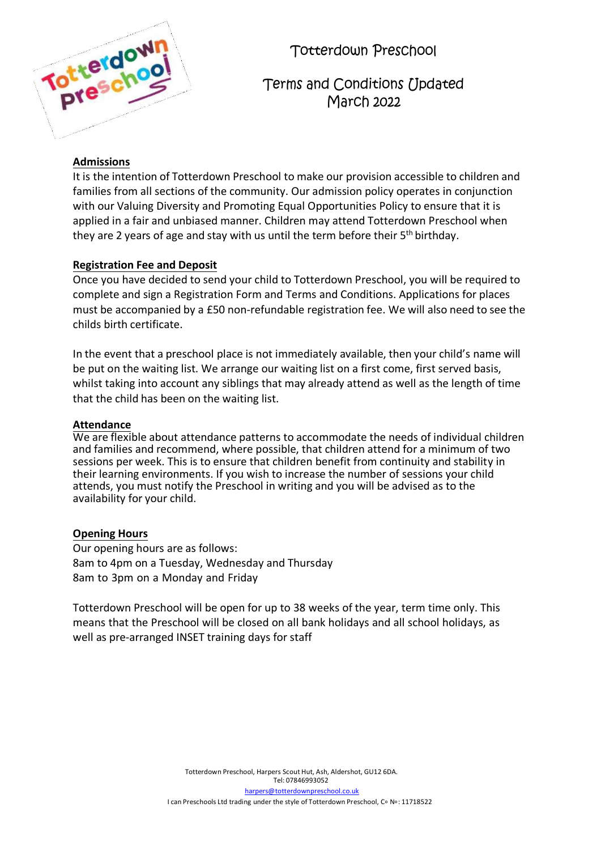| erdow               |
|---------------------|
| е<br>DY<br>And Lake |
|                     |

Totterdown Preschool

Terms and Conditions *[Ipdated* March 2022

# **Admissions**

It is the intention of Totterdown Preschool to make our provision accessible to children and families from all sections of the community. Our admission policy operates in conjunction with our Valuing Diversity and Promoting Equal Opportunities Policy to ensure that it is applied in a fair and unbiased manner. Children may attend Totterdown Preschool when they are 2 years of age and stay with us until the term before their 5<sup>th</sup> birthday.

# **Registration Fee and Deposit**

Once you have decided to send your child to Totterdown Preschool, you will be required to complete and sign a Registration Form and Terms and Conditions. Applications for places must be accompanied by a £50 non-refundable registration fee. We will also need to see the childs birth certificate.

In the event that a preschool place is not immediately available, then your child's name will be put on the waiting list. We arrange our waiting list on a first come, first served basis, whilst taking into account any siblings that may already attend as well as the length of time that the child has been on the waiting list.

# **Attendance**

We are flexible about attendance patterns to accommodate the needs of individual children and families and recommend, where possible, that children attend for a minimum of two sessions per week. This is to ensure that children benefit from continuity and stability in their learning environments. If you wish to increase the number of sessions your child attends, you must notify the Preschool in writing and you will be advised as to the availability for your child.

# **Opening Hours**

Our opening hours are as follows: 8am to 4pm on a Tuesday, Wednesday and Thursday 8am to 3pm on a Monday and Friday

Totterdown Preschool will be open for up to 38 weeks of the year, term time only. This means that the Preschool will be closed on all bank holidays and all school holidays, as well as pre-arranged INSET training days for staff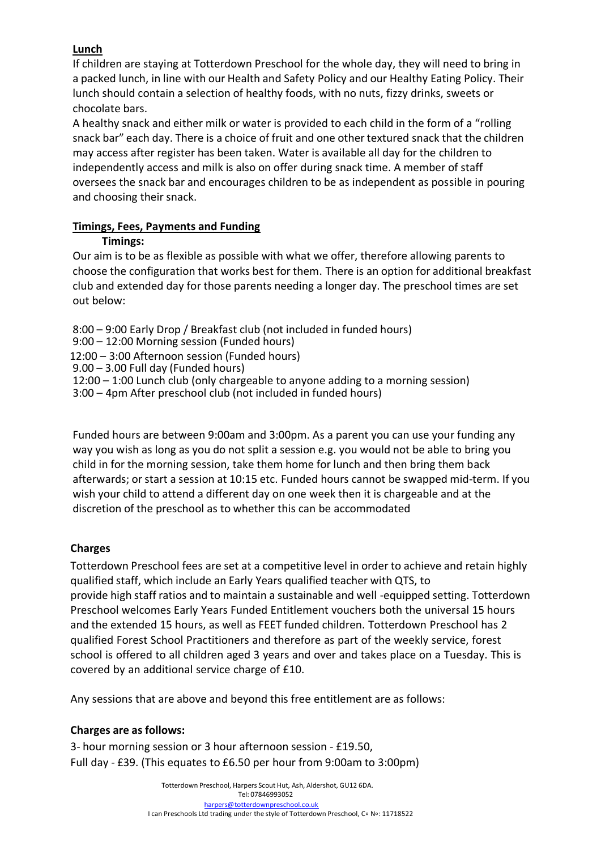# **Lunch**

If children are staying at Totterdown Preschool for the whole day, they will need to bring in a packed lunch, in line with our Health and Safety Policy and our Healthy Eating Policy. Their lunch should contain a selection of healthy foods, with no nuts, fizzy drinks, sweets or chocolate bars.

A healthy snack and either milk or water is provided to each child in the form of a "rolling snack bar" each day. There is a choice of fruit and one other textured snack that the children may access after register has been taken. Water is available all day for the children to independently access and milk is also on offer during snack time. A member of staff oversees the snack bar and encourages children to be as independent as possible in pouring and choosing their snack.

# **Timings, Fees, Payments and Funding**

# **Timings:**

Our aim is to be as flexible as possible with what we offer, therefore allowing parents to choose the configuration that works best for them. There is an option for additional breakfast club and extended day for those parents needing a longer day. The preschool times are set out below:

8:00 – 9:00 Early Drop / Breakfast club (not included in funded hours) 9:00 – 12:00 Morning session (Funded hours) 12:00 – 3:00 Afternoon session (Funded hours) 9.00 – 3.00 Full day (Funded hours) 12:00 – 1:00 Lunch club (only chargeable to anyone adding to a morning session) 3:00 – 4pm After preschool club (not included in funded hours)

Funded hours are between 9:00am and 3:00pm. As a parent you can use your funding any way you wish as long as you do not split a session e.g. you would not be able to bring you child in for the morning session, take them home for lunch and then bring them back afterwards; orstart a session at 10:15 etc. Funded hours cannot be swapped mid-term. If you wish your child to attend a different day on one week then it is chargeable and at the discretion of the preschool as to whether this can be accommodated

# **Charges**

Totterdown Preschool fees are set at a competitive level in order to achieve and retain highly qualified staff, which include an Early Years qualified teacher with QTS, to provide high staff ratios and to maintain a sustainable and well -equipped setting. Totterdown Preschool welcomes Early Years Funded Entitlement vouchers both the universal 15 hours and the extended 15 hours, as well as FEET funded children. Totterdown Preschool has 2 qualified Forest School Practitioners and therefore as part of the weekly service, forest school is offered to all children aged 3 years and over and takes place on a Tuesday. This is covered by an additional service charge of £10.

Any sessions that are above and beyond this free entitlement are as follows:

# **Charges are as follows:**

3- hour morning session or 3 hour afternoon session - £19.50, Full day - £39. (This equates to £6.50 per hour from 9:00am to 3:00pm)

> Totterdown Preschool, Harpers Scout Hut, Ash, Aldershot, GU12 6DA. Tel: 07846993052

[harpers@totterdownpreschool.co.uk](mailto:harpers@totterdownpreschool.co.uk) I can Preschools Ltd trading under the style of Totterdown Preschool, C∘ N∘: 11718522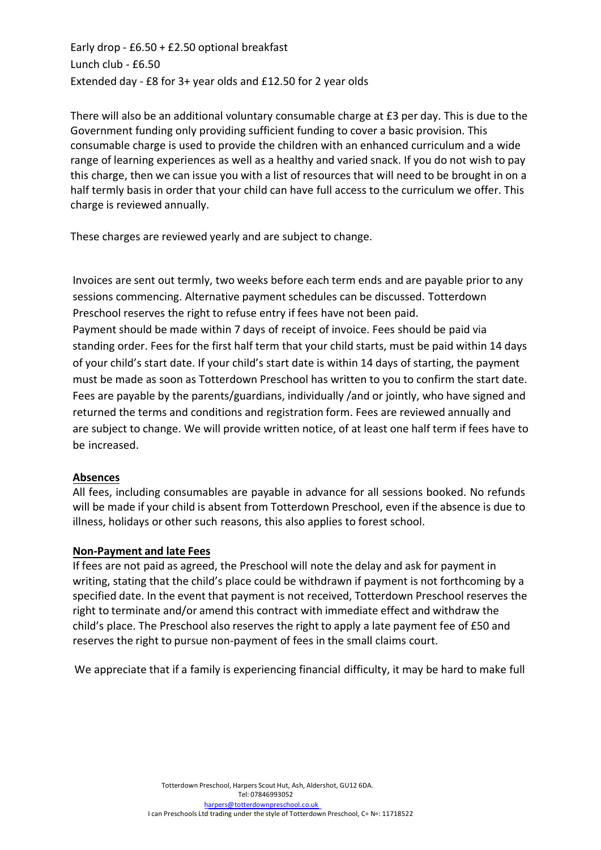Early drop - £6.50 + £2.50 optional breakfast Lunch club - £6.50 Extended day - £8 for 3+ year olds and £12.50 for 2 year olds

There will also be an additional voluntary consumable charge at £3 per day. This is due to the Government funding only providing sufficient funding to cover a basic provision. This consumable charge is used to provide the children with an enhanced curriculum and a wide range of learning experiences as well as a healthy and varied snack. If you do not wish to pay this charge, then we can issue you with a list of resources that will need to be brought in on a half termly basis in order that your child can have full access to the curriculum we offer. This charge is reviewed annually.

These charges are reviewed yearly and are subject to change.

Invoices are sent out termly, two weeks before each term ends and are payable prior to any sessions commencing. Alternative payment schedules can be discussed. Totterdown Preschool reserves the right to refuse entry if fees have not been paid.

Payment should be made within 7 days of receipt of invoice. Fees should be paid via standing order. Fees for the first half term that your child starts, must be paid within 14 days of your child's start date. If your child's start date is within 14 days of starting, the payment must be made as soon as Totterdown Preschool has written to you to confirm the start date. Fees are payable by the parents/guardians, individually /and or jointly, who have signed and returned the terms and conditions and registration form. Fees are reviewed annually and are subject to change. We will provide written notice, of at least one half term if fees have to be increased.

# **Absences**

All fees, including consumables are payable in advance for all sessions booked. No refunds will be made if your child is absent from Totterdown Preschool, even if the absence is due to illness, holidays or other such reasons, this also applies to forest school.

# **Non-Payment and late Fees**

If fees are not paid as agreed, the Preschool will note the delay and ask for payment in writing, stating that the child's place could be withdrawn if payment is not forthcoming by a specified date. In the event that payment is not received, Totterdown Preschool reserves the right to terminate and/or amend this contract with immediate effect and withdraw the child's place. The Preschool also reserves the right to apply a late payment fee of £50 and reserves the right to pursue non-payment of fees in the small claims court.

We appreciate that if a family is experiencing financial difficulty, it may be hard to make full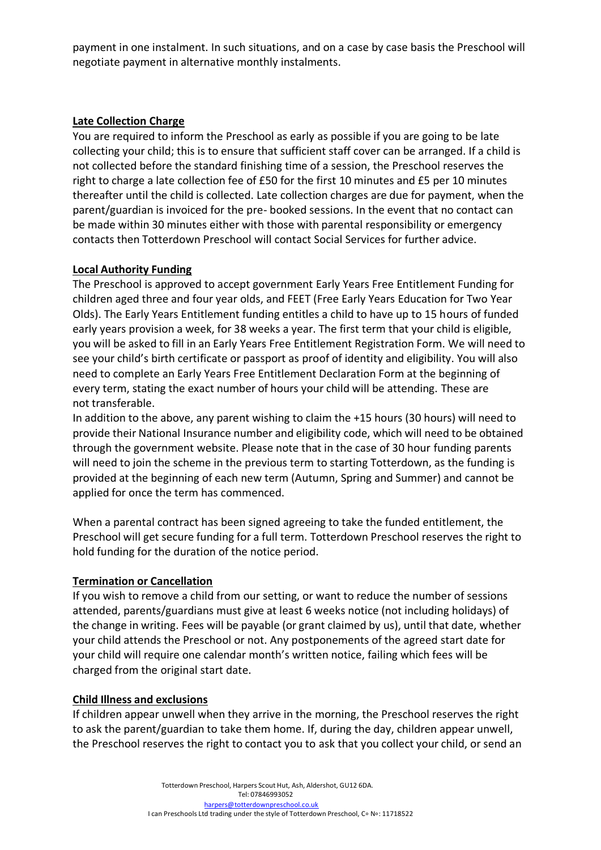payment in one instalment. In such situations, and on a case by case basis the Preschool will negotiate payment in alternative monthly instalments.

# **Late Collection Charge**

You are required to inform the Preschool as early as possible if you are going to be late collecting your child; this is to ensure that sufficient staff cover can be arranged. If a child is not collected before the standard finishing time of a session, the Preschool reserves the right to charge a late collection fee of £50 for the first 10 minutes and £5 per 10 minutes thereafter until the child is collected. Late collection charges are due for payment, when the parent/guardian is invoiced for the pre- booked sessions. In the event that no contact can be made within 30 minutes either with those with parental responsibility or emergency contacts then Totterdown Preschool will contact Social Services for further advice.

# **Local Authority Funding**

The Preschool is approved to accept government Early Years Free Entitlement Funding for children aged three and four year olds, and FEET (Free Early Years Education for Two Year Olds). The Early Years Entitlement funding entitles a child to have up to 15 hours of funded early years provision a week, for 38 weeks a year. The first term that your child is eligible, you will be asked to fill in an Early Years Free Entitlement Registration Form. We will need to see your child's birth certificate or passport as proof of identity and eligibility. You will also need to complete an Early Years Free Entitlement Declaration Form at the beginning of every term, stating the exact number of hours your child will be attending. These are not transferable.

In addition to the above, any parent wishing to claim the +15 hours (30 hours) will need to provide their National Insurance number and eligibility code, which will need to be obtained through the government website. Please note that in the case of 30 hour funding parents will need to join the scheme in the previous term to starting Totterdown, as the funding is provided at the beginning of each new term (Autumn, Spring and Summer) and cannot be applied for once the term has commenced.

When a parental contract has been signed agreeing to take the funded entitlement, the Preschool will get secure funding for a full term. Totterdown Preschool reserves the right to hold funding for the duration of the notice period.

# **Termination or Cancellation**

If you wish to remove a child from our setting, or want to reduce the number of sessions attended, parents/guardians must give at least 6 weeks notice (not including holidays) of the change in writing. Fees will be payable (or grant claimed by us), until that date, whether your child attends the Preschool or not. Any postponements of the agreed start date for your child will require one calendar month's written notice, failing which fees will be charged from the original start date.

# **Child Illness and exclusions**

If children appear unwell when they arrive in the morning, the Preschool reserves the right to ask the parent/guardian to take them home. If, during the day, children appear unwell, the Preschool reserves the right to contact you to ask that you collect your child, or send an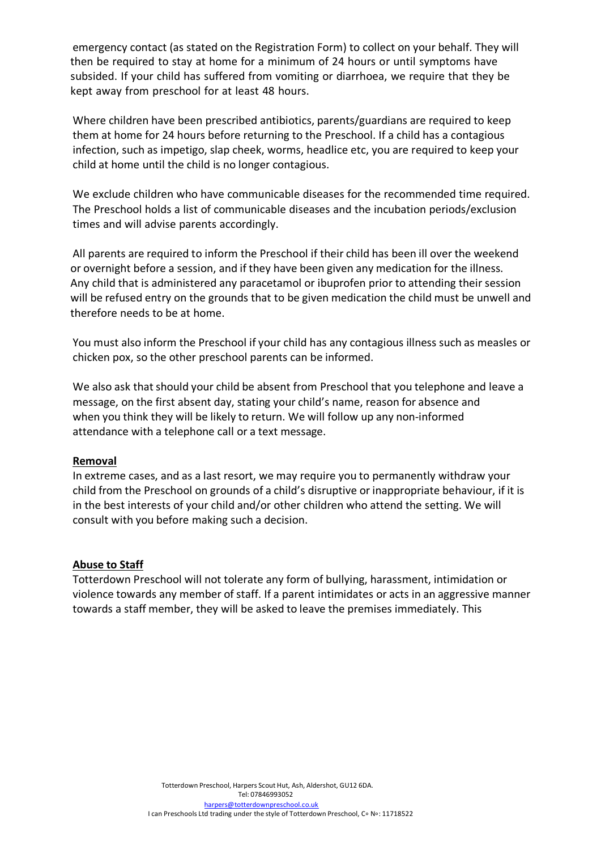emergency contact (as stated on the Registration Form) to collect on your behalf. They will then be required to stay at home for a minimum of 24 hours or until symptoms have subsided. If your child has suffered from vomiting or diarrhoea, we require that they be kept away from preschool for at least 48 hours.

Where children have been prescribed antibiotics, parents/guardians are required to keep them at home for 24 hours before returning to the Preschool. If a child has a contagious infection, such as impetigo, slap cheek, worms, headlice etc, you are required to keep your child at home until the child is no longer contagious.

We exclude children who have communicable diseases for the recommended time required. The Preschool holds a list of communicable diseases and the incubation periods/exclusion times and will advise parents accordingly.

All parents are required to inform the Preschool if their child has been ill over the weekend or overnight before a session, and if they have been given any medication for the illness. Any child that is administered any paracetamol or ibuprofen prior to attending their session will be refused entry on the grounds that to be given medication the child must be unwell and therefore needs to be at home.

You must also inform the Preschool if your child has any contagious illness such as measles or chicken pox, so the other preschool parents can be informed.

We also ask that should your child be absent from Preschool that you telephone and leave a message, on the first absent day, stating your child's name, reason for absence and when you think they will be likely to return. We will follow up any non-informed attendance with a telephone call or a text message.

# **Removal**

In extreme cases, and as a last resort, we may require you to permanently withdraw your child from the Preschool on grounds of a child's disruptive or inappropriate behaviour, if it is in the best interests of your child and/or other children who attend the setting. We will consult with you before making such a decision.

# **Abuse to Staff**

Totterdown Preschool will not tolerate any form of bullying, harassment, intimidation or violence towards any member of staff. If a parent intimidates or acts in an aggressive manner towards a staff member, they will be asked to leave the premises immediately. This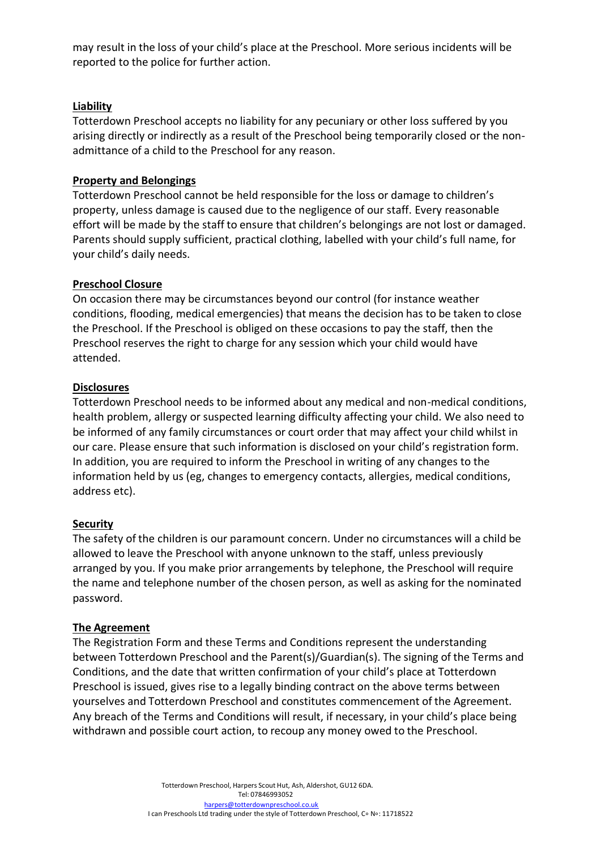may result in the loss of your child's place at the Preschool. More serious incidents will be reported to the police for further action.

### **Liability**

Totterdown Preschool accepts no liability for any pecuniary or other loss suffered by you arising directly or indirectly as a result of the Preschool being temporarily closed or the nonadmittance of a child to the Preschool for any reason.

### **Property and Belongings**

Totterdown Preschool cannot be held responsible for the loss or damage to children's property, unless damage is caused due to the negligence of our staff. Every reasonable effort will be made by the staff to ensure that children's belongings are not lost or damaged. Parents should supply sufficient, practical clothing, labelled with your child's full name, for your child's daily needs.

### **Preschool Closure**

On occasion there may be circumstances beyond our control (for instance weather conditions, flooding, medical emergencies) that means the decision has to be taken to close the Preschool. If the Preschool is obliged on these occasions to pay the staff, then the Preschool reserves the right to charge for any session which your child would have attended.

### **Disclosures**

Totterdown Preschool needs to be informed about any medical and non-medical conditions, health problem, allergy or suspected learning difficulty affecting your child. We also need to be informed of any family circumstances or court order that may affect your child whilst in our care. Please ensure that such information is disclosed on your child's registration form. In addition, you are required to inform the Preschool in writing of any changes to the information held by us (eg, changes to emergency contacts, allergies, medical conditions, address etc).

### **Security**

The safety of the children is our paramount concern. Under no circumstances will a child be allowed to leave the Preschool with anyone unknown to the staff, unless previously arranged by you. If you make prior arrangements by telephone, the Preschool will require the name and telephone number of the chosen person, as well as asking for the nominated password.

### **The Agreement**

The Registration Form and these Terms and Conditions represent the understanding between Totterdown Preschool and the Parent(s)/Guardian(s). The signing of the Terms and Conditions, and the date that written confirmation of your child's place at Totterdown Preschool is issued, gives rise to a legally binding contract on the above terms between yourselves and Totterdown Preschool and constitutes commencement of the Agreement. Any breach of the Terms and Conditions will result, if necessary, in your child's place being withdrawn and possible court action, to recoup any money owed to the Preschool.